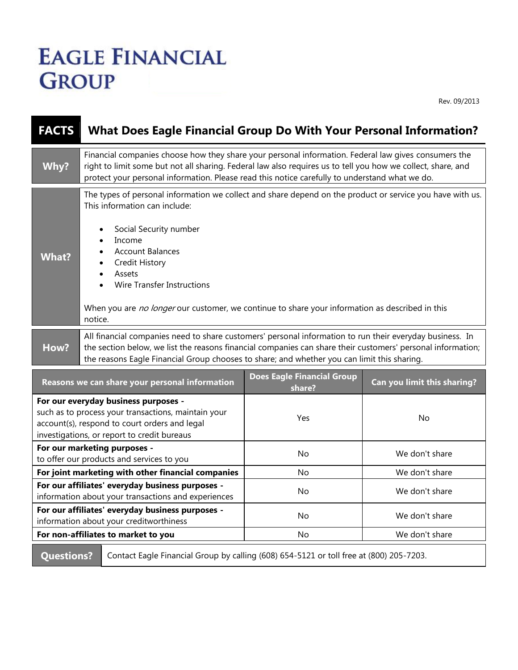## **EAGLE FINANCIAL GROUP**

Rev. 09/2013

| <b>FACTS</b> | <b>What Does Eagle Financial Group Do With Your Personal Information?</b>                                                                                                                                                                                                                                                                                                                             |  |  |
|--------------|-------------------------------------------------------------------------------------------------------------------------------------------------------------------------------------------------------------------------------------------------------------------------------------------------------------------------------------------------------------------------------------------------------|--|--|
| Why?         | Financial companies choose how they share your personal information. Federal law gives consumers the<br>right to limit some but not all sharing. Federal law also requires us to tell you how we collect, share, and<br>protect your personal information. Please read this notice carefully to understand what we do.                                                                                |  |  |
| What?        | The types of personal information we collect and share depend on the product or service you have with us.<br>This information can include:<br>Social Security number<br>Income<br><b>Account Balances</b><br><b>Credit History</b><br>Assets<br>$\bullet$<br>Wire Transfer Instructions<br>When you are no longer our customer, we continue to share your information as described in this<br>notice. |  |  |
| How?         | All financial companies need to share customers' personal information to run their everyday business. In<br>the section below, we list the reasons financial companies can share their customers' personal information;<br>the reasons Eagle Financial Group chooses to share; and whether you can limit this sharing.                                                                                |  |  |
|              | <b>Does Eagle Financial Group</b>                                                                                                                                                                                                                                                                                                                                                                     |  |  |

| Reasons we can share your personal information                                                                                                                                              | <b>Does Eagle Financial Group</b><br>share? | Can you limit this sharing? |
|---------------------------------------------------------------------------------------------------------------------------------------------------------------------------------------------|---------------------------------------------|-----------------------------|
| For our everyday business purposes -<br>such as to process your transactions, maintain your<br>account(s), respond to court orders and legal<br>investigations, or report to credit bureaus | <b>Yes</b>                                  | No                          |
| For our marketing purposes -<br>to offer our products and services to you                                                                                                                   | No                                          | We don't share              |
| For joint marketing with other financial companies                                                                                                                                          | No.                                         | We don't share              |
| For our affiliates' everyday business purposes -<br>information about your transactions and experiences                                                                                     | No                                          | We don't share              |
| For our affiliates' everyday business purposes -<br>information about your creditworthiness                                                                                                 | No                                          | We don't share              |
| For non-affiliates to market to you                                                                                                                                                         | No.                                         | We don't share              |
|                                                                                                                                                                                             |                                             |                             |

**Questions?** Contact Eagle Financial Group by calling (608) 654-5121 or toll free at (800) 205-7203.